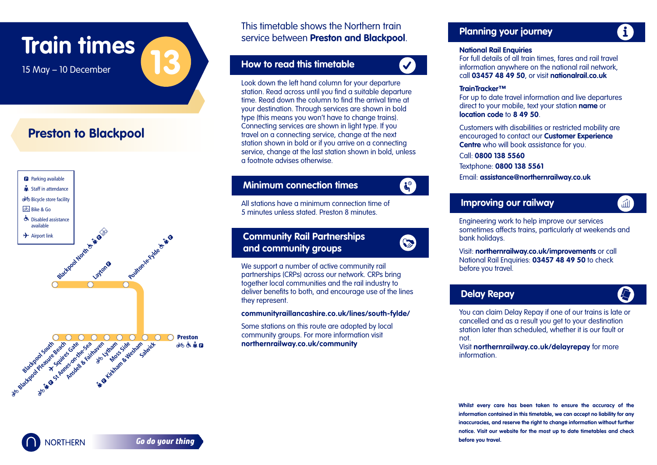## **Train times**

ľ j  $\overline{a}$ 

Ī

#### **Preston to Blackpool**



This timetable shows the Northern train service between **Preston and Blackpool**. Services between **N**  l, ice b ؟

#### **How to read this timetable**   $\overline{a}$ How I ľ

l

 $\overline{a}$ 

l.

l.



Look down the left hand column for your departure station. Read across until you find a suitable departure time. Read down the column to find the arrival time at your destination. Through services are shown in bold  type (this means you won't have to change trains).  Connecting services are shown in light type. If you travel on a connecting service, change at the next station shown in bold or if you arrive on a connecting service, change at the last station shown in bold, unless a footnote advises otherwise. i

#### **Minimum connection times Minimum** I

 All stations have a minimum connection time of 5 5 5 minutes unless stated. Preston 8 minutes. l ī ľ

#### **Community Rail Partnerships** Ì ľ and community groups  j l



 $\mathbf{d}^{\circ}$ 

 We support a number of active community rail S partnerships (CRPs) across our network. CRPs bring partnerships (skills) access serificities. Skills smiles **C**  deliver benefits to both, and encourage use of the lines **C**  they represent. Ï

## **communityraillancashire.co.uk/lines/south-fylde/**

 Some stations on this route are adopted by local community groups. For more information visit **northernrailway.co.uk/community**

## **Planning your journey**

#### **National Rail Enquiries**

 information anywhere on the national rail network, call **03457 48 49 50**, or visit **nationalrail.co.uk** c For full details of all train times, fares and rail travel a

l

### **TrainTracker™**

L

 For up to date travel information and live departures  direct to your mobile, text your station **name** or d **location code** to 8 49 50.

 **Centre** who will book assistance for you.  .<br>. Customers with disabilities or restricted mobility are encouraged to contact our **Customer Experience** ١

#### Call: **0800 138 5560** ֖֖֖֖֖֖֖֖֚֚֚֚֚֚֚֚֚֚֚֚֚֚֚֚֚֚֡֬֡֡֡֬֝

Textphone: **0800 138 5561** lexibi

Email: assistance@northernrailway.co.uk

#### **Improv**  $\overline{a}$  **Improving our railway**

 Engineering work to help improve our services sometimes affects trains, particularly at weekends and bank holidays.

 Visit: **northernrailway.co.uk/improvements** or call National Rail Enquiries: **03457 48 49 50** to check **l**  before you travel.

### **Delay Repay**

孟

L

 You can claim Delay Repay if one of our trains is late or cancelled and as a result you get to your destination station later than scheduled, whether it is our fault or not.

 Visit **northernrailway.co.uk/delayrepay** for more nen nen<br>informat information.

**Whilst every care has been taken to ensure the accuracy of the information contained in this timetable, we can accept no liability for any inaccuracies, and reserve the right to change information without further notice. Visit our website for the most up to date timetables and check before you travel.**



I **n**

**n**

15 May – 10 December **13**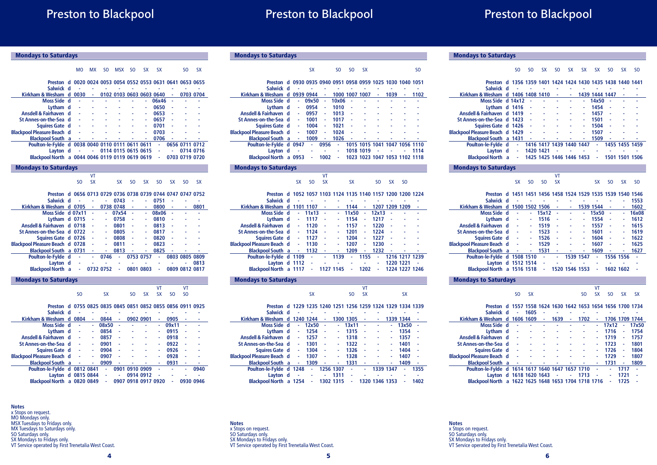# Preston to Blackpool

# Preston to Blackpool

| <b>Mondays to Saturdays</b>                                 |   |           |           |                |                          |                |           |           |                |                |           |
|-------------------------------------------------------------|---|-----------|-----------|----------------|--------------------------|----------------|-----------|-----------|----------------|----------------|-----------|
|                                                             |   |           |           |                |                          |                |           |           |                |                |           |
|                                                             |   | <b>MO</b> | <b>MX</b> | S <sub>O</sub> | <b>MSX</b>               | S <sub>O</sub> | <b>SX</b> | <b>SX</b> |                | S <sub>O</sub> | <b>SX</b> |
| Preston d 0020 0024 0053 0054 0552 0553 0631 0641 0653 0655 |   |           |           |                |                          |                |           |           |                |                |           |
| Salwick d                                                   |   |           |           |                |                          |                |           |           |                |                |           |
| Kirkham & Wesham                                            | d | 0030      | ä,        |                | 0102 0103 0603 0603 0640 |                |           |           |                |                | 0703 0704 |
| Moss Side d                                                 |   |           | L         | ä,             | ä,                       |                | ä,        | 06x46     |                | ä,             |           |
| Lvtham d                                                    |   |           |           |                |                          |                | ä,        | 0650      |                |                |           |
| Ansdell & Fairhaven d                                       |   |           |           |                |                          |                |           | 0653      |                |                |           |
| St Annes-on-the-Sea d                                       |   |           |           |                |                          |                | ä,        | 0657      |                |                |           |
| Squires Gate d                                              |   |           |           |                |                          |                | ä,        | 0701      |                |                |           |
| <b>Blackpool Pleasure Beach d</b>                           |   | i,        | ä,        |                | ä,                       |                | ä,        | 0703      |                |                |           |
| <b>Blackpool South</b> a                                    |   | L,        |           |                |                          |                | ä,        | 0706      |                |                |           |
| Poulton-le-Fylde d 0038 0040 0110 0111 0611 0611            |   |           |           |                |                          |                |           | ÷.        |                | 0656 0711 0712 |           |
| Lavton d                                                    |   |           |           |                | 0114 0115 0615 0615      |                |           | ä,        | ä,             |                | 0714 0716 |
| Blackpool North a 0044 0046 0119 0119 0619 0619             |   |           |           |                |                          |                |           | ä,        |                | 0703 0719 0720 |           |
| <b>Mondays to Saturdays</b>                                 |   |           |           |                |                          |                |           |           |                |                |           |
|                                                             |   |           | VT        |                |                          |                |           |           |                |                |           |
|                                                             |   | SO.       | <b>SX</b> |                | <b>SX</b>                | S <sub>O</sub> | <b>SX</b> | SO.       | <b>SX</b>      | SO.            | <b>SX</b> |
|                                                             |   |           |           |                |                          |                |           |           |                |                |           |
| Preston d 0656 0713 0729 0736 0738 0739 0744 0747 0747 0752 |   |           |           |                |                          |                |           |           |                |                |           |
| Salwick d                                                   |   |           |           |                | 0743                     |                | ä,        | 0751      |                | ë              | ä,        |
| Kirkham & Wesham d 0705                                     |   |           | ä,        |                | 0738 0748                |                |           | 0800      |                |                | 0801      |
| Moss Side d 07x11                                           |   |           | ä,        | ä,             | 07x54                    |                | ä,        | 08x06     |                |                |           |
| Lytham d 0715                                               |   |           |           |                | 0758                     |                | ä,        | 0810      |                |                |           |
| Ansdell & Fairhaven d 0718                                  |   |           |           | ٠              | 0801                     |                | ٠         | 0813      |                |                |           |
| St Annes-on-the-Sea d 0722                                  |   |           |           | ä,             | 0805                     |                | ä,        | 0817      |                |                |           |
| Squires Gate d 0726                                         |   |           |           |                | 0808                     |                | ä,        | 0820      |                |                |           |
| <b>Blackpool Pleasure Beach d 0728</b>                      |   |           |           | ä,             | 0811                     |                | ä,        | 0823      |                |                |           |
| Blackpool South a 0731                                      |   |           | ä,        | $\sim$         | 0813                     | ٠              | ä,        | 0825      | ٠              | ä              |           |
| Poulton-le-Fylde d                                          |   | ä,        | ä,        | 0746           | ÷.                       |                | 0753 0757 | ä,        |                | 0803 0805 0809 |           |
| Layton d                                                    |   |           | ä,        |                | ٠                        | L,             |           | ٠         | L,             |                | 0813      |
| <b>Blackpool North</b> a                                    |   | ä,        |           | 0732 0752      | ä,                       |                | 0801 0803 | ä,        |                | 0809 0812 0817 |           |
| <b>Mondays to Saturdays</b>                                 |   |           |           |                |                          |                |           |           |                |                |           |
|                                                             |   |           |           |                |                          |                |           | VT        |                | VT             |           |
|                                                             |   | SO        |           | <b>SX</b>      |                          | SO.            | <b>SX</b> | <b>SX</b> | S <sub>O</sub> | S <sub>O</sub> |           |
|                                                             |   |           |           |                |                          |                |           |           |                |                |           |
| Preston d 0755 0825 0835 0845 0851 0852 0855 0856 0911 0925 |   |           |           |                |                          |                |           |           |                |                |           |
| Salwick d                                                   |   |           |           |                |                          |                |           |           |                |                |           |
| Kirkham & Wesham d                                          |   | 0804      | ٠         | 0844           | ÷                        |                | 0902 0901 | ٠         | 0905           | ä,             | ä,        |
| Moss Side d                                                 |   |           |           | 08x50          |                          |                |           |           | 09x11          |                |           |
| Lvtham d                                                    |   |           |           | 0854           |                          |                |           |           | 0915           |                |           |
| Ansdell & Fairhaven d<br>Alan Branch all                    |   |           |           | 0857<br>0.004  |                          |                |           |           | 0918<br>0022   |                |           |

### **St Annes-on-the-Sea d - - 0901 - - - - 0922 - - Squires Gate d - - 0904 - - - - 0926 - - Blackpool Pleasure Beach d - - 0907 - - - - 0928 - - Blackpool South a - - 0909 - - - - 0931 - - Poulton-le-Fylde d 0812 0841 - 0901 0910 0909 - - - 0940**

|  | Layton d 0815 0844 - | $-09140912 - - -$                                 |                 |           |
|--|----------------------|---------------------------------------------------|-----------------|-----------|
|  |                      | Blackpool North a 0820 0849 - 0907 0918 0917 0920 | <b>Contract</b> | 0930 0946 |
|  |                      |                                                   |                 |           |

**Notes** x Stops on request. MO Mondays only. MSX Tuesdays to Fridays only. MX Tuesdays to Saturdays only. SO Saturdays only. SX Mondays to Fridays only. VT Service operated by First Trenetalia West Coast.

| <b>Mondays to Saturdays</b> |  |    |           |  |
|-----------------------------|--|----|-----------|--|
|                             |  | SO | <b>SX</b> |  |

| Preston                           |   |              | d 0930 0935 0940 0951 0958 0959 1025 1030 1040 1051 |      |       |           |           |    |                               |      |
|-----------------------------------|---|--------------|-----------------------------------------------------|------|-------|-----------|-----------|----|-------------------------------|------|
| Salwick d                         |   |              |                                                     |      |       |           |           |    |                               |      |
| Kirkham & Wesham                  | d |              | 0939 0944                                           | ۰    |       | 1000 1007 | 1007      |    | 1039                          | 1102 |
| Moss Side d                       |   | ٠            | 09x50                                               | ٠    | 10x06 | ä,        |           |    |                               |      |
| Lytham d                          |   |              | 0954                                                | ٠    | 1010  | ä,        |           |    |                               |      |
| Ansdell & Fairhaven d             |   | ٠            | 0957                                                | ٠    | 1013  | ٠         |           |    |                               |      |
| St Annes-on-the-Sea d             |   | ä,           | 1001                                                | ٠    | 1017  | ä         |           |    |                               |      |
| Squires Gate d                    |   | $\mathbf{r}$ | 1004                                                | ٠    | 1021  | ä,        |           |    |                               |      |
| <b>Blackpool Pleasure Beach d</b> |   | ٠            | 1007                                                | ٠    | 1024  | ٠         |           |    |                               |      |
| <b>Blackpool South</b> a          |   | ٠            | 1009                                                | ٠    | 1026  | ۰         |           |    |                               |      |
| Poulton-le-Fylde d                |   | 0947         | ä,                                                  | 0956 | ä,    |           |           |    | 1015 1015 1041 1047 1056 1110 |      |
| Layton d                          |   |              | ٠                                                   |      | ٠     |           | 1018 1019 | ä, |                               | 1114 |
| <b>Blackpool North</b>            | a | 0953         |                                                     | 1002 | ۰     |           |           |    | 1023 1023 1047 1053 1102 1118 |      |
|                                   |   |              |                                                     |      |       |           |           |    |                               |      |

#### Mondays to Saturdays

| cv |  | - - |  |  |
|----|--|-----|--|--|

#### **Preston d 1052 1057 1103 1124 1135 1140 1157 1200 1200 1224 Salwick d - - - - - - - - - - Kirkham & Wesham d 1101 1107 - - 1144 - 1207 1209 1209 -**

| Moss Side d                       | a. | 11x13   | $\sim$ | <b>Contract</b> | 11x50                    | ٠            | 12x13 | - 1    |                |     |
|-----------------------------------|----|---------|--------|-----------------|--------------------------|--------------|-------|--------|----------------|-----|
| Lytham d                          | ٠  | 1117    | ×,     | ۰               | 1154                     | ٠            | 1217  | $\sim$ |                |     |
| Ansdell & Fairhaven d             | ÷. | 1120    | ×,     | ٠               | 1157                     | ٠            | 1220  | $\sim$ |                |     |
| St Annes-on-the-Sea d             | ٠  | 1124    | $\sim$ | ٠               | 1201                     | ٠            | 1224  | - 1    |                |     |
| Squires Gate d                    | ۰  | 1127    | $\sim$ | ٠               | 1204                     | $\mathbf{r}$ | 1227  | $\sim$ |                |     |
| <b>Blackpool Pleasure Beach d</b> | ÷  | 1130    | ×,     | ٠               | 1207                     | ٠            | 1230  | $\sim$ |                |     |
| <b>Blackpool South</b> a          |    | $-1132$ | ٠      | $\sim$          | 1209                     | $\sim$       | 1232  | $\sim$ |                |     |
| Poulton-le-Fylde d 1109           |    | $\sim$  | $\sim$ | 1139            | ٠                        | 1155         | a.    |        | 1216 1217 1239 |     |
| Layton d 1112                     |    | $\sim$  | L.     |                 | <b>Contract Contract</b> |              | ÷     |        | 1220 1221      | - 4 |
| <b>Blackpool North</b> a 1117     |    | ٠       |        | 1127 1145       | ٠                        | 1202         | ۰     |        | 1224 1227 1246 |     |
|                                   |    |         |        |                 |                          |              |       |        |                |     |

#### Mondays to Saturdays VT SX SO SX SX

| Preston d 1229 1235 1240 1251 1256 1259 1324 1329 1334 1339 |    |      |           |           |           |           |    |                |   |           |      |
|-------------------------------------------------------------|----|------|-----------|-----------|-----------|-----------|----|----------------|---|-----------|------|
| Salwick d                                                   |    |      |           |           |           |           |    |                |   |           |      |
| Kirkham & Wesham                                            | d  |      | 1240 1244 | ٠         |           | 1300 1305 | ٠  | ۰              |   | 1339 1344 |      |
| Moss Side d                                                 |    | ٠    | 12x50     | ٠         | ۰         | 13x11     | ä, |                | ٠ | 13x50     |      |
| Lytham d                                                    |    | ٠    | 1254      | ä,        | ۰         | 1315      | ä, | ۰              | ۰ | 1354      | ä,   |
| Ansdell & Fairhaven d                                       |    | ٠    | 1257      | ä,        | ۰         | 1318      | ä, |                | ۰ | 1357      |      |
| St Annes-on-the-Sea d                                       |    |      | 1301      | ٠         |           | 1322      |    |                | ۰ | 1401      |      |
| Squires Gate d                                              |    | ٠    | 1304      | ä,        | ٠         | 1326      | ä  |                | ۰ | 1404      |      |
| <b>Blackpool Pleasure Beach d</b>                           |    | ٠    | 1307      | ٠         | ۰         | 1328      | ä, |                | ۰ | 1407      |      |
| <b>Blackpool South</b> a                                    |    | ٠    | 1309      | ٠         | ٠         | 1331      | ۰  |                | ۰ | 1409      | ٠    |
| Poulton-le-Fylde d 1248                                     |    |      | ٠         | 1256 1307 |           | ä,        |    | 1339 1347      |   |           | 1355 |
| Layton d                                                    |    |      | ۰         | ٠         | 1311      | ٠         |    |                |   |           |      |
| <b>Blackpool North</b>                                      | a. | 1254 | ٠         |           | 1302 1315 | ٠         |    | 1320 1346 1353 |   |           | 1402 |
|                                                             |    |      |           |           |           |           |    |                |   |           |      |

5

### Mondays to Saturdays

#### SO SO SX SO SX SX SX SO SX SO

| Preston d 1356 1359 1401 1424 1424 1430 1435 1438 1440 1441 |                     |                    |                          |  |                |                       |                |  |
|-------------------------------------------------------------|---------------------|--------------------|--------------------------|--|----------------|-----------------------|----------------|--|
| Salwick d                                                   |                     |                    |                          |  |                |                       |                |  |
| Kirkham & Wesham d 1406 1408 1410                           |                     |                    | ٠                        |  | 1439 1444 1447 |                       | ٠              |  |
| Moss Side d 14x12                                           |                     |                    | <b>Contractor</b>        |  | 14x50          |                       |                |  |
| Lytham d 1416                                               |                     | $\sim$             |                          |  | 1454           | ٠                     |                |  |
| Ansdell & Fairhaven d 1419                                  |                     |                    |                          |  | 1457           | ٠                     |                |  |
| St Annes-on-the-Sea d 1423                                  |                     |                    |                          |  | 1501           | $\tilde{\phantom{a}}$ |                |  |
| Squires Gate d 1426                                         |                     | $\sim$ $-$         |                          |  | 1504           |                       |                |  |
| <b>Blackpool Pleasure Beach d 1429</b>                      |                     | $\sim$             |                          |  | 1507           |                       |                |  |
| Blackpool South a 1431                                      |                     | <b>All Control</b> |                          |  | 1509           |                       |                |  |
| Poulton-le-Fylde d                                          | $\omega_{\rm{eff}}$ |                    | 1416 1417 1439 1440 1447 |  | ÷              |                       | 1455 1455 1459 |  |
| Layton d                                                    |                     | 1420 1421          |                          |  |                |                       |                |  |
| <b>Blackpool North</b> a                                    | ÷                   |                    | 1425 1425 1446 1446 1453 |  | ٠              |                       |                |  |

#### Mondays to Saturdays

|  | SX SO SO SX |  | SX SO SX SO |  |
|--|-------------|--|-------------|--|

### **Preston d 1451 1451 1456 1458 1524 1529 1535 1539 1540 1546**

| Salwick d                         |              | ٠  |   | ۰              |        |                |           |           |    | ٠         | 1553  |
|-----------------------------------|--------------|----|---|----------------|--------|----------------|-----------|-----------|----|-----------|-------|
| Kirkham & Wesham                  | $\mathsf{d}$ |    |   | 1500 1502 1506 | ٠      | ٠              |           | 1539 1544 | ۰  |           | 1602  |
| Moss Side d                       |              | ٠  | ٠ | 15x12          | $\sim$ | ۰              | ٠         | 15x50     | ٠  | ٠         | 16x08 |
| Lytham d                          |              | ä, | ٠ | 1516           | ٠      | ٠              | ۰         | 1554      | ä, |           | 1612  |
| Ansdell & Fairhaven d             |              | ä, | ۰ | 1519           | ä,     |                | ٠         | 1557      | ٠  |           | 1615  |
| St Annes-on-the-Sea d             |              | ä, | ۰ | 1523           | ä,     |                | ۰         | 1601      | ٠  |           | 1619  |
| Squires Gate d                    |              | ä, | ٠ | 1526           | ä,     |                | ٠         | 1604      | ä, |           | 1622  |
| <b>Blackpool Pleasure Beach d</b> |              | ÷  | ٠ | 1529           | ä,     |                | ۰         | 1607      | ٠  | ۰         | 1625  |
| <b>Blackpool South</b> a          |              | ×  | ÷ | 1531           | ٠      |                |           | 1609      | ٠  |           | 1627  |
| Poulton-le-Fylde d 1508 1510      |              |    |   | ٠              | ۰      |                | 1539 1547 | ٠         |    | 1556 1556 |       |
| Lavton d 1512 1514                |              |    |   | ÷              | ۰      |                |           |           |    |           |       |
| Blackpool North a 1516 1518       |              |    |   | ÷              |        | 1520 1546 1553 |           | ۰         |    | 1602 1602 |       |
|                                   |              |    |   |                |        |                |           |           |    |           |       |

#### Mondays to Saturdays

| SO SX |  | SO SX SO SX SX |  |  |
|-------|--|----------------|--|--|

| Preston                                              |   | d 1557 1558 1624 1630 1642 1653 1654 1656 1700 1734 |      |   |        |    |      |    |       |           |       |
|------------------------------------------------------|---|-----------------------------------------------------|------|---|--------|----|------|----|-------|-----------|-------|
| Salwick d                                            |   |                                                     | 1605 |   |        |    |      |    |       |           |       |
| Kirkham & Wesham                                     | d | 1606 1609                                           |      | ٠ | 1639   |    | 1702 |    | 1706  | 1709 1744 |       |
| Moss Side d                                          |   | ٠                                                   |      |   |        |    |      |    | 17x12 |           | 17x50 |
| Lytham d                                             |   | ٠                                                   |      |   |        |    |      |    | 1716  | ٠         | 1754  |
| Ansdell & Fairhaven d                                |   |                                                     |      |   |        |    |      |    | 1719  | ٠         | 1757  |
| St Annes-on-the-Sea d                                |   | ä,                                                  |      |   |        |    |      | ۰  | 1723  | ٠         | 1801  |
| Squires Gate d                                       |   | <b>College</b>                                      |      |   |        |    |      |    | 1726  | ÷         | 1804  |
| <b>Blackpool Pleasure Beach d</b>                    |   | ä,                                                  |      |   |        |    |      | ٠  | 1729  | ٠         | 1807  |
| <b>Blackpool South</b> a                             |   | ٠                                                   |      |   |        |    |      |    | 1731  |           | 1809  |
| Poulton-le-Fylde d                                   |   | 1614 1617 1640 1647 1657 1710                       |      |   |        |    |      | ٠  |       | 1717      |       |
| Layton d 1618 1620 1643                              |   |                                                     |      |   | $\sim$ | A. | 1713 | ×, |       | 1721      |       |
| Blackpool North a 1622 1625 1648 1653 1704 1718 1716 |   |                                                     |      |   |        |    |      |    |       | 1725      |       |

**Notes** x Stops on request. SO Saturdays only. SX Mondays to Fridays only. VT Service operated by First Trenetalia West Coast.

#### **Notes** x Stops on request. SO Saturdays only. SX Mondays to Fridays only. VT Service operated by First Trenetalia West Coast.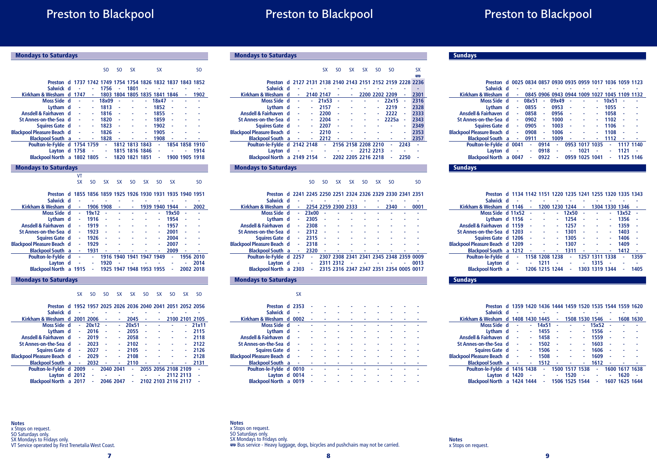# Preston to Blackpool

| <b>Mondays to Saturdays</b>                                 |   |           |                |                |                |                               |                |                |                                                   |                |                |  |
|-------------------------------------------------------------|---|-----------|----------------|----------------|----------------|-------------------------------|----------------|----------------|---------------------------------------------------|----------------|----------------|--|
|                                                             |   |           |                | S <sub>O</sub> | S <sub>O</sub> | SX                            |                | <b>SX</b>      |                                                   |                | SO.            |  |
|                                                             |   |           |                |                |                |                               |                |                |                                                   |                |                |  |
| Preston                                                     | d |           |                |                |                |                               |                |                | 1737 1742 1749 1754 1754 1826 1832 1837 1843 1852 |                |                |  |
| Salwick d                                                   |   |           |                | 1756           |                | 1801                          |                |                |                                                   |                |                |  |
| Kirkham & Wesham d                                          |   | 1747      |                |                |                | 1803 1804 1805 1835 1841 1846 |                |                |                                                   | ٠              | 1902           |  |
| Moss Side d                                                 |   |           | L,             | 18x09          |                |                               | ä,             | 18x47          |                                                   |                |                |  |
| Lytham d                                                    |   |           |                | 1813           |                |                               | ä,             | 1852           |                                                   |                |                |  |
| Ansdell & Fairhaven d                                       |   |           | ٠              | 1816           |                |                               | ٠              | 1855           |                                                   |                |                |  |
| St Annes-on-the-Sea d                                       |   |           |                | 1820           |                |                               |                | 1859           |                                                   |                |                |  |
| Squires Gate d                                              |   |           |                | 1823           |                |                               |                | 1902           |                                                   |                |                |  |
| <b>Blackpool Pleasure Beach d</b>                           |   |           | ä,             | 1826           |                |                               |                | 1905           |                                                   |                |                |  |
| <b>Blackpool South a</b>                                    |   | L,        | ÷              | 1828           |                |                               | ä,             | 1908           |                                                   |                |                |  |
| Poulton-le-Fylde d 1754 1759                                |   |           |                | ä,             |                | 1812 1813 1843                |                | ä,             |                                                   | 1854 1858 1910 |                |  |
| Layton d 1758                                               |   |           |                | ä,             |                | 1815 1816 1846                |                | ٠              |                                                   |                | 1914           |  |
| Blackpool North a 1802 1805                                 |   |           |                | ä,             |                | 1820 1821 1851                |                | ٠              |                                                   | 1900 1905 1918 |                |  |
| <b>Mondays to Saturdays</b>                                 |   |           |                |                |                |                               |                |                |                                                   |                |                |  |
|                                                             |   | VT        |                |                |                |                               |                |                |                                                   |                |                |  |
|                                                             |   | <b>SX</b> | SO.            | <b>SX</b>      | <b>SX</b>      | SO.                           | <b>SX</b>      | SO.            | <b>SX</b>                                         |                | SO.            |  |
|                                                             |   |           |                |                |                |                               |                |                |                                                   |                |                |  |
| Preston d                                                   |   |           |                |                |                |                               |                |                | 1855 1856 1859 1925 1926 1930 1931 1935 1940 1951 |                |                |  |
| Salwick d                                                   |   | i,        | L,             |                |                |                               |                |                |                                                   |                |                |  |
| Kirkham & Wesham                                            | d | ٠         |                | 1906 1908      | ٠              | ٠                             |                | 1939 1940 1944 |                                                   | ۰              | 2002           |  |
| Moss Side d                                                 |   | ÷,        | 19x12          |                |                |                               |                |                | 19x50                                             |                |                |  |
| Lytham d                                                    |   |           | 1916           |                |                |                               |                |                | 1954                                              |                |                |  |
| Ansdell & Fairhaven d                                       |   |           | 1919           |                |                |                               |                | ä,             | 1957                                              |                |                |  |
| St Annes-on-the-Sea d                                       |   |           | 1923           |                |                |                               |                | ä,             | 2001                                              |                |                |  |
| Squires Gate d                                              |   | ä,        | 1926           |                |                |                               |                | ä,             | 2004                                              |                |                |  |
| <b>Blackpool Pleasure Beach d</b>                           |   | ä,        | 1929           |                |                |                               |                | ä,             | 2007                                              |                |                |  |
| <b>Blackpool South a</b>                                    |   |           | 1931           |                |                |                               |                |                | 2009                                              | ٠              |                |  |
| Poulton-le-Fylde d                                          |   |           | ÷.             |                |                | 1916 1940 1941 1947 1949      |                |                |                                                   |                | 1956 2010      |  |
| Layton d                                                    |   |           | ä,             | 1920           |                |                               |                |                |                                                   | ٠              | 2014           |  |
| <b>Blackpool North a 1915</b>                               |   |           | ä,             |                |                | 1925 1947 1948 1953 1955      |                |                | ä,                                                |                | 2002 2018      |  |
| <b>Mondays to Saturdays</b>                                 |   |           |                |                |                |                               |                |                |                                                   |                |                |  |
|                                                             |   |           |                |                |                |                               |                |                |                                                   |                |                |  |
|                                                             |   | <b>SX</b> | S <sub>O</sub> | S <sub>O</sub> | <b>SX</b>      | SX                            | S <sub>O</sub> | <b>SX</b>      | S <sub>0</sub>                                    | <b>SX</b>      | S <sub>0</sub> |  |
|                                                             |   |           |                |                |                |                               |                |                |                                                   |                |                |  |
| Preston d 1952 1957 2025 2026 2036 2040 2041 2051 2052 2056 |   |           |                |                |                |                               |                |                |                                                   |                |                |  |
| المناسبة والمسامرة                                          |   |           |                |                |                |                               |                |                |                                                   |                |                |  |

| гіемин                            |   |      |       |        |           | טנטז זנטז ונטז ו <del>ו</del> טז נעטט פונטז נזטז <i>ו</i> נכו זנכו |                     |                     |           |                |
|-----------------------------------|---|------|-------|--------|-----------|--------------------------------------------------------------------|---------------------|---------------------|-----------|----------------|
| Salwick d                         |   |      |       |        |           |                                                                    |                     |                     |           |                |
| Kirkham & Wesham d 2001 2006      |   |      |       |        | ۰         | 2045                                                               | ۰                   |                     |           | 2100 2101 2105 |
| Moss Side d                       |   | ٠    | 20x12 | ×,     | ۰         | 20x51                                                              | ä,                  |                     | ٠         | 21x11          |
| Lytham d                          |   | ٠    | 2016  | $\sim$ | ۰         | 2055                                                               | ä,                  |                     |           | 2115           |
| Ansdell & Fairhaven d             |   | ٠    | 2019  | ä,     | ۰         | 2058                                                               | ä,                  |                     |           | 2118           |
| St Annes-on-the-Sea d             |   | ٠    | 2023  | ä,     | ۰         | 2102                                                               | ۰                   |                     |           | 2122           |
| Squires Gate d                    |   | ٠    | 2027  | ä,     |           | 2105                                                               |                     |                     |           | 2126           |
| <b>Blackpool Pleasure Beach d</b> |   | ٠    | 2029  | ä,     | ۰         | 2108                                                               | ä,                  |                     | ٠         | 2128           |
| <b>Blackpool South</b> a          |   | ÷.   | 2032  | $\sim$ | ۰         | 2110                                                               | ٠                   |                     |           | 2131           |
| Poulton-le-Fylde d 2009           |   |      | ٠     |        | 2040 2041 | ÷.                                                                 | 2055 2056 2108 2109 |                     |           |                |
| Layton d 2012                     |   |      | ä,    |        |           |                                                                    |                     |                     | 2112 2113 |                |
| <b>Blackpool North</b>            | a | 2017 | ٠     |        | 2046 2047 | ٠                                                                  |                     | 2102 2103 2116 2117 |           |                |

Mondays to Saturdays

|                                   |   |    |        | SX        | SO.          | SХ | SХ                  | SO.       | SO.                                               |      | sх   |
|-----------------------------------|---|----|--------|-----------|--------------|----|---------------------|-----------|---------------------------------------------------|------|------|
|                                   |   |    |        |           |              |    |                     |           |                                                   |      | 嘌    |
| Preston                           | d |    |        |           |              |    |                     |           | 2127 2131 2138 2140 2143 2151 2152 2159 2228 2236 |      |      |
| Salwick d                         |   |    |        |           |              |    |                     |           |                                                   |      |      |
| Kirkham & Wesham d                |   |    |        | 2140 2147 | ۰            | ۰  |                     |           | 2200 2202 2209                                    |      | 2301 |
| Moss Side d                       |   | ä, |        | 21x53     | ×,           |    |                     |           | 22x15                                             | ٠    | 2316 |
| Lytham d                          |   | ä, |        | 2157      | ä,           |    |                     | ٠         | 2219                                              | ä,   | 2328 |
| Ansdell & Fairhaven d             |   |    |        | 2200      | $\mathbf{r}$ |    |                     | ٠         | 2222                                              | ٠    | 2333 |
| St Annes-on-the-Sea d             |   | ä, |        | 2204      | ä,           |    |                     | ٠         | 2225a                                             | ٠    | 2343 |
| Squires Gate d                    |   | ä, |        | 2207      | ä,           |    |                     |           |                                                   | ٠    | 2349 |
| <b>Blackpool Pleasure Beach d</b> |   | ä  | ٠      | 2210      | ä,           |    |                     |           | ٠                                                 | ٠    | 2353 |
| <b>Blackpool South</b> a          |   | ٠  | $\sim$ | 2212      | ٠            |    | ٠                   | ٠         | ۰                                                 | ٠    | 2357 |
| Poulton-le-Fylde d 2142 2148      |   |    |        | ÷         |              |    | 2156 2158 2208 2210 |           | ٠                                                 | 2243 |      |
| Lavton d                          |   |    |        | ä,        |              |    |                     | 2212 2213 | ä,                                                |      |      |
| Blackpool North a 2149 2154       |   |    |        | ٠         |              |    | 2202 2205 2216 2218 |           | ٠                                                 | 2250 |      |
|                                   |   |    |        |           |              |    |                     |           |                                                   |      |      |

#### Mondays to Saturdays

#### SO SO SX SX SO SX SO SO

| Preston                           |        | d 2241 2245 2250 2251 2324 2326 2329 2330 2341 2351 |           |                                         |  |      |      |
|-----------------------------------|--------|-----------------------------------------------------|-----------|-----------------------------------------|--|------|------|
| Salwick d                         |        |                                                     |           |                                         |  |      |      |
| Kirkham & Wesham d                | ٠      | 2254 2259 2300 2333                                 |           |                                         |  | 2340 | 0001 |
| Moss Side d                       | ٠      | 23x00                                               |           |                                         |  |      |      |
| Lytham d                          | ٠      | 2305                                                | ٠         |                                         |  |      |      |
| Ansdell & Fairhaven d             |        | 2308                                                |           |                                         |  |      |      |
| St Annes-on-the-Sea d             |        | 2312                                                |           |                                         |  |      |      |
| Squires Gate d                    | ٠      | 2315                                                |           |                                         |  |      |      |
| <b>Blackpool Pleasure Beach d</b> | ٠      | 2318                                                | ٠         |                                         |  |      |      |
| <b>Blackpool South</b> a          | ÷      | 2320                                                | ٠         |                                         |  |      |      |
| Poulton-le-Fylde d                | 2257   | ×.                                                  |           | 2307 2308 2341 2341 2345 2348 2359 0009 |  |      |      |
| Layton d                          |        | ٠                                                   | 2311 2312 | $\sim$                                  |  |      | 0013 |
| <b>Blackpool North</b>            | a 2303 |                                                     |           | 2315 2316 2347 2347 2351 2354 0005 0017 |  |      |      |

#### Mondays to Saturdays

|                                   | SX   |   |  |   |  |  |  |
|-----------------------------------|------|---|--|---|--|--|--|
| Preston d 2353                    |      |   |  |   |  |  |  |
| Salwick d                         |      |   |  |   |  |  |  |
| Kirkham & Wesham d                | 0002 | ۰ |  |   |  |  |  |
| Moss Side d                       | ٠    |   |  |   |  |  |  |
| Lytham d                          | ٠    |   |  |   |  |  |  |
| Ansdell & Fairhaven d             | ä,   |   |  |   |  |  |  |
| St Annes-on-the-Sea d             |      |   |  |   |  |  |  |
| Squires Gate d                    | ٠    |   |  |   |  |  |  |
| <b>Blackpool Pleasure Beach d</b> | ٠    |   |  |   |  |  |  |
| <b>Blackpool South</b> a          | ٠    |   |  |   |  |  |  |
| Poulton-le-Fylde d 0010           |      |   |  |   |  |  |  |
| Layton d 0014                     |      | ٠ |  | ۰ |  |  |  |
| Blackpool North a 0019            |      | ٠ |  |   |  |  |  |

#### **Sundays**

| Preston d                         |    |      | 0025 0834 0857 0930 0935 0959 1017 1036 1059 1123 |      |                                              |    |                |   |       |           |           |
|-----------------------------------|----|------|---------------------------------------------------|------|----------------------------------------------|----|----------------|---|-------|-----------|-----------|
| Salwick d                         |    | ۰    |                                                   |      |                                              |    |                |   |       |           |           |
| Kirkham & Wesham d                |    | ٠    |                                                   |      | 0845 0906 0943 0944 1009 1027 1045 1109 1132 |    |                |   |       |           |           |
| Moss Side d                       |    | ٠    | 08x51                                             | ٠    | 09x49                                        | ä, |                |   | 10x51 | ä,        |           |
| Lytham d                          |    | ٠    | 0855                                              | ٠    | 0953                                         | ä, |                |   | 1055  | ä         |           |
| Ansdell & Fairhaven d             |    | ٠    | 0858                                              | ٠    | 0956                                         | ä, |                |   | 1058  | ä,        |           |
| St Annes-on-the-Sea d             |    | ٠    | 0902                                              | ۰    | 1000                                         | ä, |                |   | 1102  | ٠         |           |
| Squires Gate d                    |    | ٠    | 0905                                              | ٠    | 1003                                         | ä, |                |   | 1106  | ä,        |           |
| <b>Blackpool Pleasure Beach d</b> |    | ٠    | 0908                                              | ٠    | 1006                                         | l, |                |   | 1108  |           |           |
| <b>Blackpool South</b> a          |    | ٠    | 0911                                              | ٠    | 1009                                         | ٠  |                |   | 1112  | ٠         |           |
| Poulton-le-Fylde d                |    | 0041 | ٠                                                 | 0914 | ۰                                            |    | 0953 1017 1035 |   | ٠     |           | 1117 1140 |
| Layton d                          |    | ٠    | ٠                                                 | 0918 | ٠                                            | ٠  | 1021           | ٠ | ٠     | 1121      | ä,        |
| <b>Blackpool North</b>            | a. | 0047 | ٠                                                 | 0922 | ٠                                            |    | 0959 1025 1041 |   |       | 1125 1146 |           |

#### **Sundays**

#### **Preston d 1134 1142 1151 1220 1235 1241 1255 1320 1335 1343**

| Salwick d                              |    |        |                |   |                |    |                |   |                |      |
|----------------------------------------|----|--------|----------------|---|----------------|----|----------------|---|----------------|------|
| Kirkham & Wesham d 1146                |    | ۰      |                |   | 1200 1230 1244 | ٠  |                |   | 1304 1330 1346 |      |
| Moss Side d 11x52                      |    | ä,     |                | ٠ | 12x50          | ٠  |                | ۰ | 13x52          |      |
| Lytham d 1156                          |    | ä,     |                | ۰ | 1254           | ä, |                | ٠ | 1356           |      |
| Ansdell & Fairhaven d 1159             |    | ×,     | ۰              | ٠ | 1257           | ٠  |                | ٠ | 1359           |      |
| St Annes-on-the-Sea d 1203             |    | ä,     |                | ٠ | 1301           | ä  |                | ٠ | 1403           |      |
| Squires Gate d 1206                    |    | $\sim$ |                | ٠ | 1305           | ä  |                | ٠ | 1406           |      |
| <b>Blackpool Pleasure Beach d 1209</b> |    | ÷      |                | ٠ | 1307           | ä, |                | ٠ | 1409           |      |
| Blackpool South a 1212                 |    | $\sim$ | ۰              | ٠ | 1311           |    |                | ۰ | 1412           |      |
| Poulton-le-Fylde d                     | a. |        | 1158 1208 1238 |   | ÷.             |    | 1257 1311 1338 |   | ٠              | 1359 |
| Layton d                               | ä, | $\sim$ | 1211           | ٠ | ٠              | ٠  | 1315           | ٠ | ٠              |      |
| <b>Blackpool North</b> a               | ٠  |        | 1206 1215 1244 |   | ä,             |    | 1303 1319 1344 |   | ۰              | 1405 |

#### **Sundays**

| Preston d 1359 1420 1436 1444 1459 1520 1535 1544 1559 1620 |                 |                 |                |    |                |   |                |      |                |           |
|-------------------------------------------------------------|-----------------|-----------------|----------------|----|----------------|---|----------------|------|----------------|-----------|
| Salwick d                                                   |                 |                 |                |    |                |   |                |      |                |           |
| Kirkham & Wesham d                                          |                 |                 | 1408 1430 1445 | ٠  |                |   | 1508 1530 1546 |      |                | 1608 1630 |
| Moss Side d                                                 |                 |                 | 14x51          | ×, |                |   | 15x52          |      |                |           |
| Lytham d                                                    | ÷               | ٠               | 1455           | ä, | ٠              | ۰ | 1556           | ٠    |                |           |
| Ansdell & Fairhaven d                                       | ä,              | ٠               | 1458           | ÷, |                |   | 1559           | ä,   |                |           |
| St Annes-on-the-Sea d                                       | ä,              | ٠               | 1502           | ä, |                |   | 1603           | ä    |                |           |
| Squires Gate d                                              | $\sim$ 10 $\pm$ | ٠               | 1506           | ä, |                | ٠ | 1606           | ä,   |                |           |
| <b>Blackpool Pleasure Beach d</b>                           | ٠               | ۰               | 1508           | ä, |                | ۰ | 1609           | ä,   |                |           |
| <b>Blackpool South</b> a                                    | ٠               | ٠.              | 1512           | ٠  |                | ۰ | 1612           |      |                |           |
| Poulton-le-Fylde d 1416 1438                                |                 |                 | ÷              |    | 1500 1517 1538 |   | ä,             |      | 1600 1617 1638 |           |
| Layton d 1420                                               |                 | $\sim 10^{-10}$ | ä,             | ٠  | 1520           | ٠ | ۰              | ٠    | 1620           | ٠         |
| Blackpool North a 1424 1444                                 |                 |                 | ä,             |    | 1506 1525 1544 |   | ٠              | 1607 | 1625 1644      |           |
|                                                             |                 |                 |                |    |                |   |                |      |                |           |

**Notes** x Stops on request. SO Saturdays only. SX Mondays to Fridays only. VT Service operated by First Trenetalia West Coast. **Notes**<br>x Stops on request.<br>SO Saturdays only.<br>SX Mondays to Fridays only.<br><del>☞</del> Bus service - Heavy luggage, dogs, bicycles and pushchairs may not be carried.

8

**Notes** x Stops on request.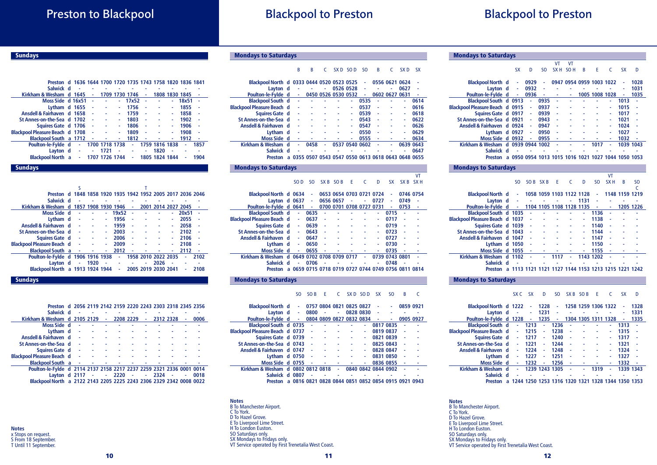# Blackpool to Preston

# Blackpool to Preston

# Preston to Blackpool

### **Sundays**

| Preston d 1636 1644 1700 1720 1735 1743 1758 1820 1836 1841 |          |    |                |                |    |                |                |       |      |
|-------------------------------------------------------------|----------|----|----------------|----------------|----|----------------|----------------|-------|------|
| Salwick d                                                   |          |    |                |                |    |                |                |       |      |
| Kirkham & Wesham                                            | $d$ 1645 |    |                | 1709 1730 1746 |    |                | 1808 1830 1845 |       |      |
| Moss Side d 16x51                                           |          |    |                | 17x52          |    |                |                | 18x51 |      |
| Lytham d 1655                                               |          | ä, |                | 1756           |    |                |                | 1855  |      |
| Ansdell & Fairhaven d 1658                                  |          | ä, |                | 1759           | ٠  |                |                | 1858  |      |
| St Annes-on-the-Sea d 1702                                  |          | ä, |                | 1803           | ä, |                |                | 1902  | ä,   |
| Squires Gate d 1706                                         |          | ä, |                | 1806           | ä, |                |                | 1906  |      |
| Blackpool Pleasure Beach d 1708                             |          | ä, |                | 1809           | ä, |                |                | 1908  |      |
| Blackpool South a 1712                                      |          | ۰  |                | 1812           |    |                |                | 1912  |      |
| Poulton-le-Fylde d                                          | ÷.       |    | 1700 1718 1738 | ä,             |    | 1759 1816 1838 |                |       | 1857 |
| Layton d                                                    | ä,       |    | 1721           |                |    | 1820           |                | ۰     |      |
| <b>Blackpool North</b> a                                    | ٠        |    | 1707 1726 1744 | ٠              |    | 1805 1824 1844 |                |       | 1904 |
| Sundavs                                                     |          |    |                |                |    |                |                |       |      |

| Preston d 1848 1858 1920 1935 1942 1952 2005 2017 2036 2046 |   |           |                     |     |       |    |                     |   |       |      |  |
|-------------------------------------------------------------|---|-----------|---------------------|-----|-------|----|---------------------|---|-------|------|--|
| Salwick d                                                   |   |           |                     |     |       |    |                     |   |       |      |  |
| Kirkham & Wesham                                            | d |           | 1857 1908 1930 1946 |     |       | ٠  | 2001 2014 2027 2045 |   |       |      |  |
| Moss Side d                                                 |   | ä,        |                     |     | 19x52 | ٠  |                     | ٠ | 20x51 | ä,   |  |
| Lytham d                                                    |   | ä,        |                     |     | 1956  | ä, |                     | ۰ | 2055  |      |  |
| Ansdell & Fairhaven d                                       |   | $\sim$    |                     |     | 1959  | ä, |                     | ۰ | 2058  |      |  |
| St Annes-on-the-Sea d                                       |   | ÷.        |                     |     | 2003  | ä, |                     | ٠ | 2102  |      |  |
| Squires Gate d                                              |   | $\sim 10$ |                     |     | 2006  | ä, |                     | ٠ | 2106  |      |  |
| <b>Blackpool Pleasure Beach d</b>                           |   | n.        |                     |     | 2009  | ä, |                     | ۰ | 2108  |      |  |
| <b>Blackpool South</b> a                                    |   | ÷         | ٠                   | ۰   | 2012  | ٠  |                     | ۰ | 2112  | ä,   |  |
| Poulton-le-Fylde d 1906 1916 1938                           |   |           |                     |     | ä,    |    | 1958 2010 2022 2035 |   | ä     | 2102 |  |
| Lavton d                                                    |   |           | 1920                | - 4 |       |    | 2026                |   |       |      |  |
| Blackpool North a 1913 1924 1944                            |   |           |                     |     | ٠     |    | 2005 2019 2030 2041 |   | ۰     | 2108 |  |
|                                                             |   |           |                     |     |       |    |                     |   |       |      |  |

#### **Sundays**

| Preston d 2056 2119 2142 2159 2220 2243 2303 2318 2345 2356          |            |        |                      |           |            |        |         |           |      |
|----------------------------------------------------------------------|------------|--------|----------------------|-----------|------------|--------|---------|-----------|------|
| Salwick d                                                            |            |        |                      |           |            |        |         |           |      |
| Kirkham & Wesham d 2105 2129                                         |            |        | $\sim 100$           | 2208 2229 |            | $\sim$ |         | 2312 2328 | 0006 |
| Moss Side d                                                          |            |        |                      |           |            |        |         |           |      |
| Lytham d                                                             | ä,         | ٠      |                      |           |            |        |         |           |      |
| Ansdell & Fairhaven d -                                              |            |        |                      |           |            |        |         |           |      |
| St Annes-on-the-Sea d -                                              |            |        |                      |           |            |        |         |           |      |
| Squires Gate d -                                                     |            |        |                      |           |            |        |         |           |      |
| <b>Blackpool Pleasure Beach d</b>                                    | $\sim$     |        |                      |           |            |        |         |           |      |
| <b>Blackpool South</b> a                                             | $\sim$ $-$ |        | <b>All Contracts</b> |           |            |        |         |           |      |
| Poulton-le-Fylde d 2114 2137 2158 2217 2237 2259 2321 2336 0001 0014 |            |        |                      |           |            |        |         |           |      |
| Layton d 2117                                                        |            | $\sim$ |                      | $-2220$   | $\sim$ $-$ |        | $-2324$ |           | 0018 |
| Blackpool North a 2122 2143 2205 2225 2243 2306 2329 2342 0008 0022  |            |        |                      |           |            |        |         |           |      |
|                                                                      |            |        |                      |           |            |        |         |           |      |

**Notes** x Stops on request. S From 18 September. T Until 11 September.

#### B B C SXD SOD SO B C SXD SX

| Blackpool North d 0333 0444 0520 0523 0525 |     |    |                                                   |   |                     | ٠    | 0556 0621 0624 |                |           |      |
|--------------------------------------------|-----|----|---------------------------------------------------|---|---------------------|------|----------------|----------------|-----------|------|
| Layton d                                   |     | ٠  |                                                   | ۰ | 0526 0528           | ٠    |                | ۰              | 0627      |      |
| Poulton-le-Fylde d                         |     |    |                                                   |   | 0450 0526 0530 0532 | ٠    |                | 0602 0627 0631 |           |      |
| <b>Blackpool South d</b>                   |     | ٠  |                                                   |   | ٠                   | 0535 |                |                | ٠         | 0614 |
| <b>Blackpool Pleasure Beach d</b>          |     | ٠  |                                                   |   | ۰                   | 0537 | ٠              |                | ۰         | 0616 |
| Squires Gate d                             |     | ä, |                                                   |   |                     | 0539 | ä,             |                |           | 0618 |
| St Annes-on-the-Sea d                      |     | ä, |                                                   |   |                     | 0543 |                |                |           | 0622 |
| Ansdell & Fairhaven d                      |     | ٠  |                                                   |   |                     | 0547 |                |                |           | 0626 |
| Lytham d                                   |     | ٠  |                                                   |   |                     | 0550 | ä,             |                |           | 0629 |
| Moss Side d                                |     | ٠  |                                                   |   |                     | 0555 |                |                |           | 0634 |
| Kirkham & Wesham                           | ∣ d | ٠  | 0458                                              | ٠ | 0537 0540 0602      |      |                |                | 0639 0643 |      |
| Salwick d                                  |     |    |                                                   |   |                     |      |                |                |           | 0647 |
| <b>Preston</b>                             | a   |    | 0355 0507 0543 0547 0550 0613 0618 0643 0648 0655 |   |                     |      |                |                |           |      |
|                                            |     |    |                                                   |   |                     |      |                |                |           |      |

#### Mondays to Saturdays

VT<br>SOD SO SXB SOB E C D SX SXB SXH

| Blackpool North d 0634                      |   |   | ٠                                            |           | 0653 0654 0703 0721 0724 |    |    |      | ٠              | 0746 0754 |    |
|---------------------------------------------|---|---|----------------------------------------------|-----------|--------------------------|----|----|------|----------------|-----------|----|
| Layton d 0637                               |   |   | ٠                                            | 0656 0657 |                          | ä, | ٠  | 0727 | ٠              | 0749      | ä, |
| Poulton-le-Fylde d 0641                     |   |   | ۰                                            |           | 0700 0701 0708 0727 0731 |    |    |      | ٠              | 0753      | ٠  |
| <b>Blackpool South d</b>                    |   | ٠ | 0635                                         | ä,        |                          |    |    | ۰    | 0715           | L,        |    |
| <b>Blackpool Pleasure Beach d</b>           |   | ۰ | 0637                                         | ä,        |                          |    |    | ۰    | 0717           | ä         |    |
| Squires Gate d                              |   | ٠ | 0639                                         | ä,        |                          |    |    | ۰    | 0719           | ٠         |    |
| St Annes-on-the-Sea d                       |   | ۰ | 0643                                         | ٠         |                          |    |    | ۰    | 0723           | ٠         |    |
| Ansdell & Fairhaven d                       |   | ٠ | 0647                                         | ٠         |                          |    |    |      | 0727           | ٠         |    |
| Lytham d                                    |   | ۰ | 0650                                         | ٠         |                          |    |    | ۰    | 0730           | ٠         |    |
| Moss Side d                                 |   | ۰ | 0655                                         | ٠         |                          |    |    | ٠    | 0735           | ×,        |    |
| Kirkham & Wesham d 0649 0702 0708 0709 0717 |   |   |                                              |           |                          |    | ä, |      | 0739 0743 0801 |           |    |
| Salwick d                                   |   | ۰ | 0706                                         | ٠         |                          | ä, |    | ٠    | 0748           | ٠         |    |
| <b>Preston</b>                              | a |   | 0659 0715 0718 0719 0727 0744 0749 0756 0811 |           |                          |    |    |      |                |           |    |

#### Mondays to Saturdays

#### SO SOB E C SXD SOD SX SO B C

| <b>Blackpool North d</b>          | ٠                                                   |              | 0757 0804 0821 0825 0827 |              |   |                     | ä,        | ٠         | 0859 0921 |   |
|-----------------------------------|-----------------------------------------------------|--------------|--------------------------|--------------|---|---------------------|-----------|-----------|-----------|---|
| Lavton d                          | $\sim$                                              | 0800         | $\sim$                   | ٠            |   | 0828 0830           | ÷,        |           |           | ۰ |
| Poulton-le-Fylde d                | $\sim 10$                                           |              | 0804 0809 0827 0832 0834 |              |   |                     | $\sim$    | ٠         | 0905 0927 |   |
| Blackpool South d 0735            |                                                     |              |                          |              |   | ۰                   | 0817 0835 |           |           |   |
| Blackpool Pleasure Beach d 0737   |                                                     | ä,           | ٠                        |              |   | ۰                   | 0819 0837 |           | ×,        |   |
| Squires Gate d 0739               |                                                     | $\mathbf{r}$ |                          | ä,           | ۰ | ٠                   |           | 0821 0839 | ä,        |   |
| St Annes-on-the-Sea d 0743        |                                                     | $\sim$       |                          |              |   | ۰                   |           | 0825 0843 |           |   |
| Ansdell & Fairhaven d 0747        |                                                     | $\sim$       |                          |              |   | ٠                   | 0828 0847 |           | ä,        |   |
| Lytham $d$ 0750                   |                                                     | $\sim$       |                          |              |   | ٠                   | 0831 0850 |           | ×,        |   |
| Moss Side d 0755                  |                                                     | - 4          | ۰                        | ۰            | ۰ | ٠                   | 0836 0855 |           | ×,        |   |
| Kirkham & Wesham d 0802 0812 0818 |                                                     |              |                          | ÷.           |   | 0840 0842 0844 0902 |           |           |           |   |
| Salwick d 0807                    |                                                     | ٠            |                          | $\mathbf{r}$ |   |                     |           |           |           |   |
| <b>Preston</b>                    | a 0816 0821 0828 0844 0851 0852 0854 0915 0921 0943 |              |                          |              |   |                     |           |           |           |   |

11

**Notes** B To Manchester Airport. C To York. D To Hazel Grove. E To Liverpool Lime Street. H To London Euston. SO Saturdays only. SX Mondays to Fridays only. VT Service operated by First Trenetalia West Coast.

| <b>Mondays to Saturdays</b>       |             |           |                |      |                 |                               |   |                |           |           |           |
|-----------------------------------|-------------|-----------|----------------|------|-----------------|-------------------------------|---|----------------|-----------|-----------|-----------|
|                                   |             |           |                |      | VT              | VT                            |   |                |           |           |           |
|                                   |             | <b>SX</b> | D              | SO.  | SX <sub>H</sub> | SO <sub>H</sub>               | B | F              |           | SХ        | D         |
|                                   |             |           |                |      |                 |                               |   |                |           |           |           |
| <b>Blackpool North d</b>          |             |           | 0929           | ۰    | 0947            | 0954 0959 1003 1022           |   |                |           | ۰         | 1028      |
| Layton d                          |             | ٠         | 0932           | ٠    |                 |                               |   |                |           | ۰         | 1031      |
| Poulton-le-Fylde d                |             | ٠         | 0936           | ä,   |                 | ٠                             |   | 1005 1008 1028 |           |           | 1035      |
| Blackpool South d 0913            |             |           | ä,             | 0935 |                 |                               |   |                | ۰         | 1013      |           |
| <b>Blackpool Pleasure Beach d</b> |             | 0915      | ٠              | 0937 |                 |                               |   |                | ۰         | 1015      |           |
| Squires Gate d 0917               |             |           | ٠              | 0939 | ٠               |                               |   |                | ٠         | 1017      |           |
| St Annes-on-the-Sea d             |             | 0921      | ٠              | 0943 | ٠               |                               |   |                | ٠         | 1021      |           |
| <b>Ansdell &amp; Fairhaven</b>    | d.          | 0924      | ä,             | 0947 | ä               |                               |   |                | ۰         | 1024      |           |
| Lytham                            | $\mathbf d$ | 0927      | ٠              | 0950 | ä               |                               |   |                | ۰         | 1027      |           |
| <b>Moss Side</b>                  | d.          | 0932      |                | 0955 | ä,              |                               |   |                | ٠         | 1032      |           |
| <b>Kirkham &amp; Wesham</b>       | d           |           | 0939 0944 1002 |      | ٠               |                               |   | 1017           |           |           | 1039 1043 |
| <b>Salwick</b>                    | d           |           |                |      |                 |                               |   |                |           |           |           |
| <b>Preston</b>                    | a           |           |                |      |                 | 0950 0954 1013 1015 1016 1021 |   |                | 1027 1044 | 1050 1053 |           |

#### Mondays to Saturdays

 $\overline{\phantom{a}}$ 

 $\sim$ 

|                                        |    |      |           |         |                          |   |      |           | ۷T              |                                         |           |
|----------------------------------------|----|------|-----------|---------|--------------------------|---|------|-----------|-----------------|-----------------------------------------|-----------|
|                                        |    | SO.  |           | SOB SXB | F                        | C | D    | SO.       | SX <sub>H</sub> | B                                       | SO.       |
|                                        |    |      |           |         |                          |   |      |           |                 |                                         |           |
| <b>Blackpool North d</b>               |    | ٠    |           |         | 1058 1059 1103 1122 1128 |   |      | ٠         |                 | 1148 1159 1219                          |           |
| Layton d                               |    | ۰    |           |         |                          |   | 1131 | ٠         |                 |                                         |           |
| Poulton-le-Fylde d                     |    | A.   |           |         | 1104 1105 1108 1128 1135 |   |      | ٠         | ۰               |                                         | 1205 1226 |
| Blackpool South d 1035                 |    |      |           |         |                          |   |      | 1136      |                 |                                         |           |
| <b>Blackpool Pleasure Beach d 1037</b> |    |      | ٠         |         |                          |   |      | 1138      | ä,              |                                         |           |
| Squires Gate d 1039                    |    |      | ٠         |         |                          |   |      | 1140      |                 |                                         |           |
| St Annes-on-the-Sea d 1043             |    |      | ä,        |         |                          |   |      | 1144      | ä,              |                                         |           |
| Ansdell & Fairhaven d 1047             |    |      | ä,        |         |                          |   |      | 1147      | ä,              |                                         |           |
| Lytham d 1050                          |    |      | ä,        |         |                          |   |      | 1150      |                 |                                         |           |
| Moss Side d 1055                       |    |      | ä,        |         |                          |   |      | 1155      | ä,              |                                         |           |
| Kirkham & Wesham                       | d. | 1102 |           |         | 1117                     |   |      | 1143 1202 | ۰               |                                         |           |
| Salwick d                              |    | ۰    |           |         |                          |   |      |           |                 |                                         |           |
| <b>Preston</b>                         | a  |      | 1113 1121 |         |                          |   |      |           |                 | 1121 1127 1144 1153 1213 1215 1221 1242 |           |
|                                        |    |      |           |         |                          |   |      |           |                 |                                         |           |

#### Mondays to Saturdays

SX C SX D SO SX B SO B E C SX D

| <b>Blackpool North d</b> 1222     |   |      | ۰    | 1228           | ٠    |      |   | 1258 1259 1306 1322 |   | ۰                                                 | 1328      |  |
|-----------------------------------|---|------|------|----------------|------|------|---|---------------------|---|---------------------------------------------------|-----------|--|
| Layton d                          |   | ٠    | ٠    | 1231           | ۰    | ۰    |   | ۰                   |   | ٠                                                 | 1331      |  |
| Poulton-le-Fylde d                |   | 1228 | ۰    | 1235           | ٠    | 1304 |   | 1305 1311 1328      |   | ۰                                                 | 1335      |  |
| <b>Blackpool South d</b>          |   |      | 1213 | ٠              | 1236 | ٠    |   |                     | ۰ | 1313                                              | ä         |  |
| <b>Blackpool Pleasure Beach d</b> |   | ٠    | 1215 | ٠              | 1238 | ٠    |   |                     | ۰ | 1315                                              |           |  |
| Squires Gate d                    |   | ٠    | 1217 | ۰              | 1240 | ٠    |   |                     | ۰ | 1317                                              | ä         |  |
| St Annes-on-the-Sea d             |   | ٠    | 1221 | ä,             | 1244 | ٠    |   |                     | ۰ | 1321                                              | ä,        |  |
| <b>Ansdell &amp; Fairhaven</b>    | d | ۰    | 1224 | ä,             | 1248 | ٠    |   |                     | ٠ | 1324                                              | ä         |  |
| Lytham d                          |   |      | 1227 | ۰              | 1251 | ٠    |   |                     | ۰ | 1327                                              |           |  |
| Moss Side d                       |   |      | 1232 |                | 1256 | ٠    |   |                     | ۰ | 1332                                              |           |  |
| Kirkham & Wesham                  | d |      |      | 1239 1243 1305 |      | ä,   | ٠ | 1319                | ٠ |                                                   | 1339 1343 |  |
| <b>Salwick</b>                    | d |      |      |                |      |      |   |                     |   |                                                   |           |  |
| <b>Preston</b>                    |   |      |      |                |      |      |   |                     |   | 1244 1250 1253 1316 1320 1321 1328 1344 1350 1353 |           |  |
|                                   |   |      |      |                |      |      |   |                     |   |                                                   |           |  |

**Notes** B To Manchester Airport. C To York. D To Hazel Grove. E To Liverpool Lime Street. H To London Euston. SO Saturdays only. SX Mondays to Fridays only. VT Service operated by First Trenetalia West Coast.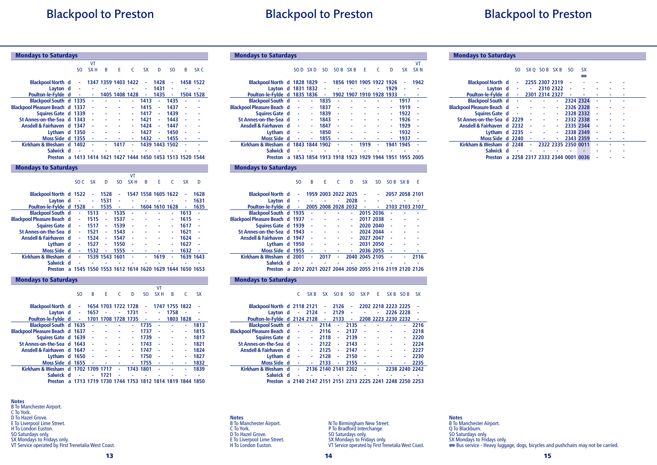# Blackpool to Preston

# Blackpool to Preston

| <b>Mondays to Saturdays</b>                                 |                 |                 |                     |                |                 |                     |                 |                |           |                 |
|-------------------------------------------------------------|-----------------|-----------------|---------------------|----------------|-----------------|---------------------|-----------------|----------------|-----------|-----------------|
|                                                             |                 | VT              |                     |                |                 |                     |                 |                |           |                 |
|                                                             | S <sub>O</sub>  | SX <sub>H</sub> | B                   | E              | C               | <b>SX</b>           | D               | SO.            | B         | SX <sub>C</sub> |
| <b>Blackpool North d</b>                                    | ÷,              |                 | 1347 1359 1403 1422 |                |                 | ä,                  | 1428            | ٠              | 1458 1522 |                 |
| Layton d                                                    | ä,              | ä,              | ٠                   |                | ä               | ä,                  | 1431            | ä              | ä,        | ä,              |
| Poulton-le-Fylde d                                          | ÷,              | ä,              |                     |                | 1405 1408 1428  | ÷,                  | 1435            | ÷,             |           | 1504 1528       |
| Blackpool South d 1335                                      |                 |                 |                     |                | ä,              | 1413                | L.              | 1435           |           |                 |
| <b>Blackpool Pleasure Beach d 1337</b>                      |                 |                 |                     |                |                 | 1415                | ä,              | 1437           |           |                 |
| Squires Gate d                                              | 1339            |                 |                     | L              | ä,              | 1417                | ä,              | 1439           |           |                 |
| St Annes-on-the-Sea d                                       | 1343            |                 |                     |                | ٠               | 1421                |                 | 1443           |           |                 |
| Ansdell & Fairhaven d 1347                                  |                 |                 |                     |                |                 | 1424                |                 | 1447           |           |                 |
| Lytham d 1350                                               |                 |                 |                     |                | ä,              | 1427                |                 | 1450           |           |                 |
| Moss Side d 1355                                            |                 |                 |                     | i.             | ٠               | 1432                | ä,              | 1455           |           | ٠               |
| Kirkham & Wesham d                                          | 1402            |                 | ٠                   | 1417           | ٠               |                     | 1439 1443 1502  |                |           |                 |
| Salwick d                                                   |                 |                 |                     |                |                 |                     |                 |                |           |                 |
| Preston a 1413 1414 1421 1427 1444 1450 1453 1513 1520 1544 |                 |                 |                     |                |                 |                     |                 |                |           |                 |
| <b>Mondays to Saturdays</b>                                 |                 |                 |                     |                |                 |                     |                 |                |           |                 |
|                                                             |                 |                 |                     |                | <b>VT</b>       |                     |                 |                |           |                 |
|                                                             | SO <sub>C</sub> | <b>SX</b>       | D                   | S <sub>O</sub> | SX <sub>H</sub> | B                   | E               | Ċ              | <b>SX</b> | D               |
|                                                             |                 |                 |                     |                |                 |                     |                 |                |           |                 |
| <b>Blackpool North d 1522</b>                               |                 | ÷               | 1528                | ÷              |                 | 1547 1558 1605 1622 |                 |                |           | 1628            |
| Layton d                                                    | ä,              |                 | 1531                |                | ä,              | ä,                  |                 |                |           | 1631            |
| Poulton-le-Fylde d 1528                                     |                 | Ξ               | 1535                | ÷              |                 |                     |                 | 1604 1610 1628 | ä,        | 1635            |
| <b>Blackpool South d</b>                                    | ä,              | 1513            | ä,                  | 1535           | ä,              |                     |                 |                | 1613      | ä,              |
| <b>Blackpool Pleasure Beach d</b>                           | ä,              | 1515            | ٠                   | 1537           | ä,              |                     |                 |                | 1615      |                 |
| Squires Gate d                                              |                 | 1517            |                     | 1539           |                 |                     |                 |                | 1617      |                 |
| St Annes-on-the-Sea d                                       | ä,              | 1521            |                     | 1543           |                 |                     |                 |                | 1621      |                 |
| Ansdell & Fairhaven d                                       | ä,              | 1524            | ä,                  | 1547           | ä,              |                     |                 | ä              | 1624      |                 |
| Lytham d                                                    | ÷,              | 1527            | ٠                   | 1550           | ä,              |                     |                 | ä,             | 1627      |                 |
| Moss Side d<br>Kirkham & Wesham d                           | ä,              | 1532            | ٠                   | 1555           | ä,              |                     | ٠               |                | 1632      |                 |
|                                                             |                 |                 | 1539 1543 1601      |                |                 |                     | 1619            |                | 1639 1643 |                 |
| Salwick d                                                   |                 |                 |                     |                |                 |                     |                 |                |           |                 |
| Preston a 1545 1550 1553 1612 1614 1620 1629 1644 1650 1653 |                 |                 |                     |                |                 |                     |                 |                |           |                 |
| <b>Mondays to Saturdays</b>                                 |                 |                 |                     |                |                 |                     |                 |                |           |                 |
|                                                             |                 |                 |                     |                |                 |                     | VT              |                |           |                 |
|                                                             | S <sub>O</sub>  | B               | E                   | Ċ              | D               | S <sub>O</sub>      | SX <sub>H</sub> | B              | C         | <b>SX</b>       |
| <b>Blackpool North d</b>                                    | ä,              |                 | 1654 1703 1722 1728 |                |                 |                     |                 | 1747 1755 1822 |           |                 |
| Layton d                                                    | ٠               | 1657            | ٠                   | ٠              | 1731            | ٠                   | ÷,              | 1758           |           |                 |
| .<br>.                                                      |                 |                 |                     |                |                 |                     |                 |                |           |                 |

|           |                     |                                                                                                 |                       |                                          | ٠                                                                                                                                 | ÷                                                                             | 1758                                                            |        |                                                                                      |
|-----------|---------------------|-------------------------------------------------------------------------------------------------|-----------------------|------------------------------------------|-----------------------------------------------------------------------------------------------------------------------------------|-------------------------------------------------------------------------------|-----------------------------------------------------------------|--------|--------------------------------------------------------------------------------------|
|           |                     |                                                                                                 |                       |                                          |                                                                                                                                   |                                                                               |                                                                 |        |                                                                                      |
|           |                     |                                                                                                 |                       | $\Delta \sim 10$                         | 1735                                                                                                                              | $\sim$                                                                        | ä,                                                              | ä,     | 1813                                                                                 |
|           |                     |                                                                                                 |                       | ٠                                        | 1737                                                                                                                              | ÷,                                                                            | ä,                                                              | ä,     | 1815                                                                                 |
|           |                     |                                                                                                 | $\sim$                | ÷                                        | 1739                                                                                                                              | ä,                                                                            | ä,                                                              | ä,     | 1817                                                                                 |
|           | $\sim$              |                                                                                                 |                       | ÷                                        | 1743                                                                                                                              | ÷.                                                                            | ä,                                                              | ٠      | 1821                                                                                 |
|           | $\sim$              |                                                                                                 |                       | ÷,                                       | 1747                                                                                                                              | - 4                                                                           | ÷                                                               | ٠      | 1824                                                                                 |
|           |                     |                                                                                                 |                       | ÷                                        |                                                                                                                                   | $\sim$                                                                        | ä,                                                              | ۰      | 1827                                                                                 |
|           |                     |                                                                                                 |                       |                                          |                                                                                                                                   | $\sim$ $-$                                                                    |                                                                 | $\sim$ | 1832                                                                                 |
|           |                     |                                                                                                 |                       |                                          |                                                                                                                                   | $\sim$ $-$                                                                    | ä,                                                              | ٠      | 1839                                                                                 |
|           | $\omega_{\rm{eff}}$ | 1721                                                                                            | ä,                    |                                          |                                                                                                                                   |                                                                               |                                                                 |        |                                                                                      |
|           |                     |                                                                                                 |                       |                                          |                                                                                                                                   |                                                                               |                                                                 |        |                                                                                      |
| Salwick d |                     | St Annes-on-the-Sea d 1643<br>Ansdell & Fairhaven d 1647<br>Lytham d 1650<br><b>All Control</b> | Layton $d \cdot 1657$ | <b>Common</b><br>Squires Gate d 1639 - - | Blackpool South d 1635 - - - -<br>Blackpool Pleasure Beach d 1637 - - - -<br>the contract of the con-<br>Moss Side d $1655 - - -$ | $-1731$<br>Kirkham & Wesham d 1702 1709 1717 - 1743 1801<br><b>Contractor</b> | Poulton-le-Fylde d - 1701 1708 1728 1735 - -<br>1750<br>$-1755$ |        | 1803 1828<br><b>All Control</b><br>1713 1719 1730 1744 1753 1812 1814 1819 1844 1850 |

**Notes** B To Manchester Airport. C To York. D To Hazel Grove.

- E To Liverpool Lime Street. H To London Euston.
- 
- 
- SO Saturdays only. SX Mondays to Fridays only.
- VT Service operated by First Trenetalia West Coast.

|  | <b>Mondays to Saturdays</b> |
|--|-----------------------------|

|                                   |   |      |           |        |         |           |                               |                |      |           | VT              |
|-----------------------------------|---|------|-----------|--------|---------|-----------|-------------------------------|----------------|------|-----------|-----------------|
|                                   |   | SO D | SX D      | SO.    | SOB SXB |           | F                             | C              | D    | <b>SX</b> | SX <sub>N</sub> |
|                                   |   |      |           |        |         |           |                               |                |      |           |                 |
| Blackpool North d 1828 1829       |   |      |           | $\sim$ |         |           | 1856 1901 1905 1922 1926      |                |      | ۰         | 1942            |
| Layton d 1831 1832                |   |      |           | ÷      | ۰       |           |                               | ٠              | 1929 | ٠         |                 |
| Poulton-le-Fylde d 1835 1836      |   |      |           | ٠      |         | 1902 1907 |                               | 1910 1928 1933 |      |           |                 |
| <b>Blackpool South d</b>          |   |      |           | 1835   |         |           |                               |                | ٠    | 1917      |                 |
| <b>Blackpool Pleasure Beach d</b> |   | ٠    | ٠         | 1837   | ٠       | ۰         | ٠                             |                | ٠    | 1919      | ä,              |
| Squires Gate d                    |   | ä,   | ۰         | 1839   | ٠       |           |                               |                | ۰    | 1922      | ä,              |
| St Annes-on-the-Sea d             |   |      |           | 1843   |         |           |                               |                |      | 1926      | ä,              |
| Ansdell & Fairhaven d             |   | ٠    | ۰         | 1847   | ٠       | ٠         |                               |                | ۰    | 1929      | ä,              |
| Lytham d                          |   |      |           | 1850   | ٠       |           |                               |                | ۰    | 1932      | ä,              |
| Moss Side d                       |   |      |           | 1855   | ٠       |           |                               |                |      | 1937      | ۰               |
| Kirkham & Wesham d                |   |      | 1843 1844 | 1902   | ä,      | ä,        | 1919                          | ٠              | 1941 | 1945      |                 |
| Salwick d                         |   |      |           |        |         |           |                               |                |      |           |                 |
| Preston                           | a |      | 1853 1854 |        |         |           | 1913 1918 1923 1929 1944 1951 |                |      |           | 1955 2005       |

#### Mondays to Saturdays

SO B E C D SX SO SOB SXB E

| <b>Blackpool North d</b>        |   | ٠         |            |      |    | 1959 2003 2022 2025 |                |           |        | 2057 2058 2101                                    |      |
|---------------------------------|---|-----------|------------|------|----|---------------------|----------------|-----------|--------|---------------------------------------------------|------|
| Layton d                        |   | ٠         | $\sim 100$ |      | ٠  | 2028                | ä,             |           |        |                                                   |      |
| Poulton-le-Fylde d              |   | $\sim 10$ |            |      |    | 2005 2008 2028 2032 | ٠              | ٠         |        | 2103 2103 2107                                    |      |
| Blackpool South d 1935          |   |           | ä,         | ٠    |    | ÷.                  | 2015 2036      |           | ٠      |                                                   |      |
| Blackpool Pleasure Beach d 1937 |   |           | ä,         |      |    | ٠                   |                | 2017 2038 | ä,     |                                                   |      |
| Squires Gate d 1939             |   |           | $\sim$     |      |    | ٠                   |                | 2020 2040 | $\sim$ |                                                   |      |
| St Annes-on-the-Sea d 1943      |   |           | ä,         | ٠    |    | ۰                   |                | 2024 2044 | ä,     |                                                   |      |
| Ansdell & Fairhaven d 1947      |   |           | ä,         |      |    | ٠                   |                | 2027 2047 | ٠      |                                                   |      |
| Lytham $d$ 1950                 |   |           | ä,         |      |    | ٠                   |                | 2031 2050 | ä,     |                                                   |      |
| Moss Side d 1955                |   |           | $\sim$     |      |    |                     |                | 2036 2055 | $\sim$ |                                                   |      |
| Kirkham & Wesham d              |   | 2001      | ä,         | 2017 | ä, |                     | 2040 2045 2105 |           | ä,     |                                                   | 2116 |
| Salwick d                       |   |           |            |      |    |                     |                |           |        |                                                   |      |
| Preston                         | a |           |            |      |    |                     |                |           |        | 2012 2021 2027 2044 2050 2055 2116 2119 2120 2126 |      |

#### Mondays to Saturdays

C SX B SX SO B SO SX P E SX B SO B SX

| Blackpool North d 2118 2121       |                                                     |        | $\sim 10^{11}$      | 2126 | ٠    |    |   | 2202 2218 2223 2225 |                |      |
|-----------------------------------|-----------------------------------------------------|--------|---------------------|------|------|----|---|---------------------|----------------|------|
| Layton d                          | ٠                                                   | 2124   | ٠                   | 2129 | ٠    |    | ۰ |                     | 2226 2228      |      |
| Poulton-le-Fylde d 2124 2128      |                                                     |        | ٠                   | 2133 | ٠    |    |   | 2208 2223 2230 2232 |                |      |
| <b>Blackpool South d</b>          | ٠                                                   | $\sim$ | 2114                | ä,   | 2135 | ٠  |   |                     |                | 2216 |
| <b>Blackpool Pleasure Beach d</b> | ٠                                                   | ٠      | 2116                | ٠    | 2137 | ٠  | ۰ |                     | ۰              | 2218 |
| Squires Gate d                    | ä,                                                  |        | 2118                | ٠    | 2139 | ä, |   |                     |                | 2220 |
| St Annes-on-the-Sea d             |                                                     |        | 2122                | ۰    | 2143 | ä, |   |                     |                | 2224 |
| Ansdell & Fairhaven d             | ä,                                                  |        | 2125                | ٠    | 2147 | ä, |   |                     |                | 2227 |
| Lytham d                          | ٠                                                   | ۰      | 2128                | ٠    | 2150 | ٠  |   |                     | ۰              | 2230 |
| Moss Side d                       | ٠                                                   | ٠      | 2133                |      | 2155 | ä, |   |                     | ۰              | 2235 |
| Kirkham & Wesham d                | ٠                                                   |        | 2136 2140 2141 2202 |      |      | ٠  |   |                     | 2238 2240 2242 |      |
| Salwick d                         |                                                     |        |                     |      |      |    |   |                     |                |      |
| <b>Preston</b>                    | a 2140 2147 2151 2151 2213 2225 2241 2248 2250 2253 |        |                     |      |      |    |   |                     |                |      |
|                                   |                                                     |        |                     |      |      |    |   |                     |                |      |

**Notes** B To Manchester Airport. C To York. D To Hazel Grove. E To Liverpool Lime Street. H To London Euston.

N To Birmingham New Street. P To Bradford Interchange. SO Saturdays only. SX Mondays to Fridays only. VT Service operated by First Trenetalia West Coast.

### **Notes** B To Manchester Airport. Q To Blackburn. SO Saturdays only. SX Mondays to Fridays only. G Bus service - Heavy luggage, dogs, bicycles and pushchairs may not be carried.

#### 13

#### Mondays to Saturdays

|                                   | SO.                             |    | SX O SOB SX B  |                     | SO. | <b>SX</b> |    |  |  |
|-----------------------------------|---------------------------------|----|----------------|---------------------|-----|-----------|----|--|--|
|                                   |                                 |    |                |                     |     | 粤         |    |  |  |
| <b>Blackpool North d</b>          | ÷                               |    | 2255 2307 2319 |                     |     |           |    |  |  |
| Layton d                          | ٠                               | ٠  |                | 2310 2322           | ä,  |           |    |  |  |
| Poulton-le-Fylde d                | $\sim$                          |    | 2301 2314 2327 |                     |     |           |    |  |  |
| <b>Blackpool South d</b>          | ä,                              |    |                | a.                  |     | 2324 2324 |    |  |  |
| <b>Blackpool Pleasure Beach d</b> | í,                              |    |                | ۰                   |     | 2326 2328 | ä, |  |  |
| Squires Gate d                    | ٠                               |    |                | ٠                   |     | 2328 2332 | ٠  |  |  |
| St Annes-on-the-Sea d 2229        |                                 |    |                | ٠                   |     | 2332 2338 | Ĭ. |  |  |
| Ansdell & Fairhaven d 2232        |                                 | ä, |                | ÷                   |     | 2335 2344 | ä, |  |  |
| Lytham d 2235                     |                                 | ×  |                | ٠                   |     | 2338 2349 | ä, |  |  |
| Moss Side d 2240                  |                                 | ä, |                |                     |     | 2343 2359 |    |  |  |
| Kirkham & Wesham d 2248           |                                 | ÷. |                | 2322 2335 2350 0011 |     |           |    |  |  |
| Salwick d                         | ٠                               |    |                |                     |     |           |    |  |  |
| Preston                           | a 2258 2317 2333 2344 0001 0036 |    |                |                     |     |           |    |  |  |